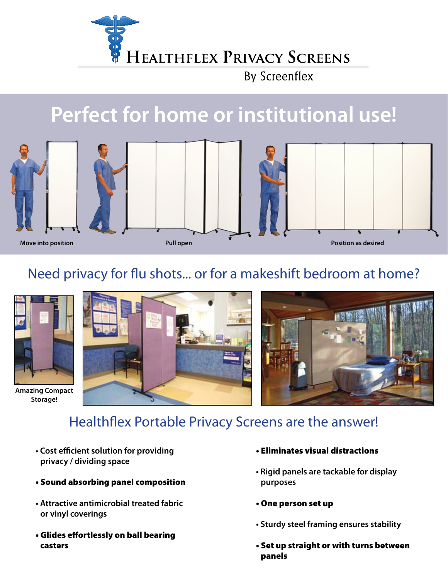

**By Screenflex** 

# **Perfect for home or institutional use!**









**Move into position Pull open Position as desired**

#### Need privacy for flu shots... or for a makeshift bedroom at home?



**Amazing Compact Storage!**



### Healthflex Portable Privacy Screens are the answer!

- **Cost efficient solution for providing privacy / dividing space**
- Sound absorbing panel composition
- **Attractive antimicrobial treated fabric or vinyl coverings**
- Glides effortlessly on ball bearing casters
- Eliminates visual distractions
- **Rigid panels are tackable for display purposes**
- One person set up
- **Sturdy steel framing ensures stability**
- Set up straight or with turns between panels